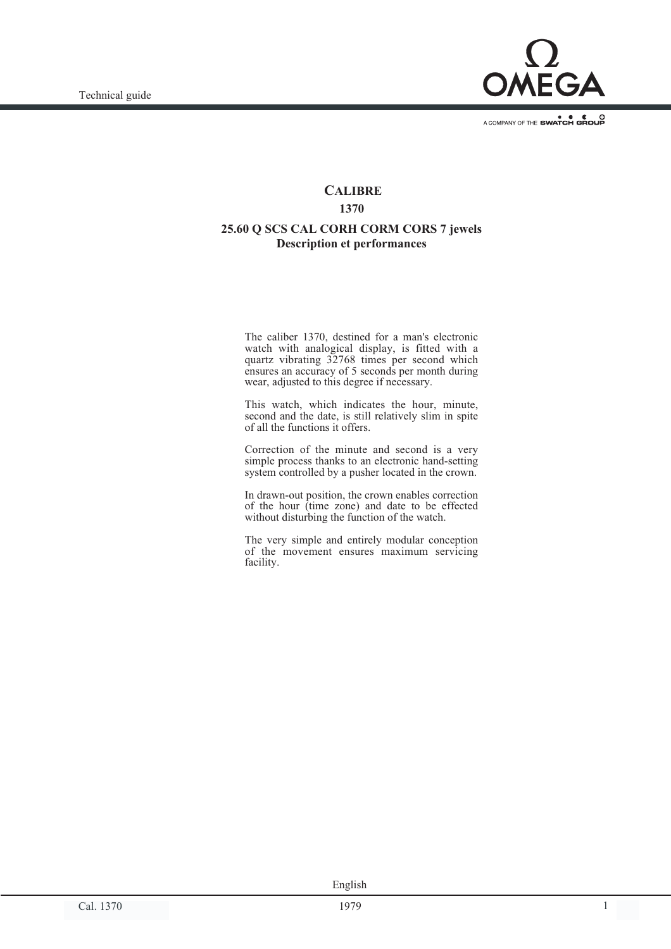

A COMPANY OF THE SWATCH GROUP

# **CALIBRE 1370 25.60 Q SCS CAL CORH CORM CORS 7 jewels Description et performances**

The caliber 1370, destined for a man's electronic watch with analogical display, is fitted with a quartz vibrating 32768 times per second which ensures an accuracy of 5 seconds per month during wear, adjusted to this degree if necessary.

This watch, which indicates the hour, minute, second and the date, is still relatively slim in spite of all the functions it offers.

Correction of the minute and second is a very simple process thanks to an electronic hand-setting system controlled by a pusher located in the crown.

In drawn-out position, the crown enables correction of the hour (time zone) and date to be effected without disturbing the function of the watch.

The very simple and entirely modular conception of the movement ensures maximum servicing facility.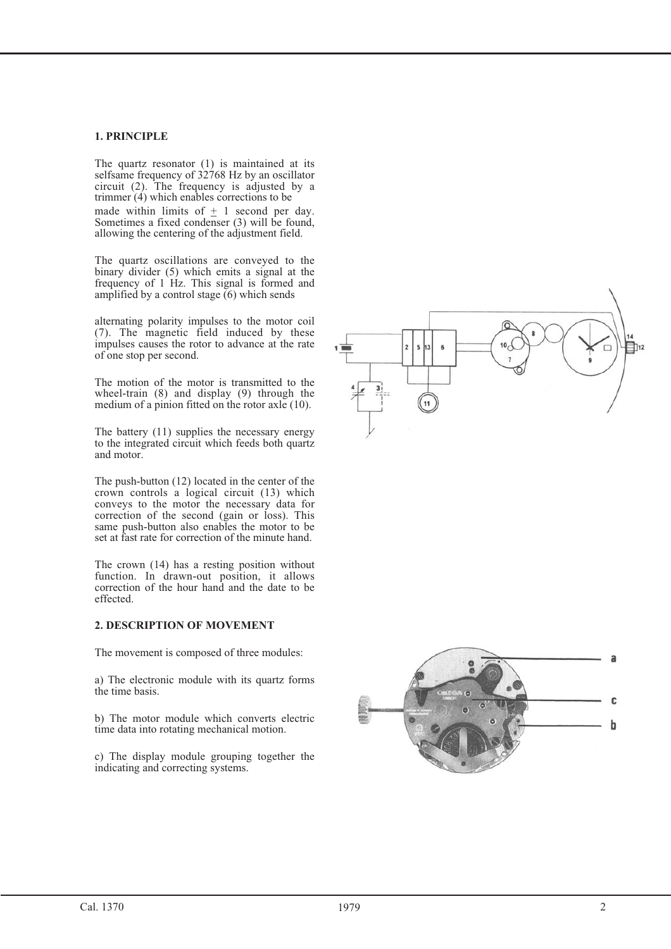### **1. PRINCIPLE**

The quartz resonator (1) is maintained at its selfsame frequency of 32768 Hz by an oscillator circuit (2). The frequency is adjusted by a trimmer  $(4)$  which enables corrections to be made within limits of  $+ 1$  second per day. Sometimes a fixed condenser (3) will be found, allowing the centering of the adjustment field.

The quartz oscillations are conveyed to the binary divider (5) which emits a signal at the frequency of 1 Hz. This signal is formed and amplified by a control stage  $(6)$  which sends

alternating polarity impulses to the motor coil (7). The magnetic field induced by these impulses causes the rotor to advance at the rate of one stop per second.

The motion of the motor is transmitted to the wheel-train (8) and display (9) through the medium of a pinion fitted on the rotor axle (10).

The battery (11) supplies the necessary energy to the integrated circuit which feeds both quartz and motor.

The push-button (12) located in the center of the crown controls a logical circuit (13) which conveys to the motor the necessary data for correction of the second (gain or loss). This same push-button also enables the motor to be set at fast rate for correction of the minute hand. made within limits of  $\pm 1$  sec<br>Sometimes a fixed condenser (3)<br>allowing the centering of the adjus<br>The quartz oscillations are cor<br>binary divider (5) which emits a frequency of 1 Hz. This signal<br>amplified by a control s

The crown (14) has a resting position without function. In drawn-out position, it allows correction of the hour hand and the date to be effected.

### **2. DESCRIPTION OF MOVEMENT**

The movement is composed of three modules:

a) The electronic module with its quartz forms the time basis.

b) The motor module which converts electric time data into rotating mechanical motion.

c) The display module grouping together the



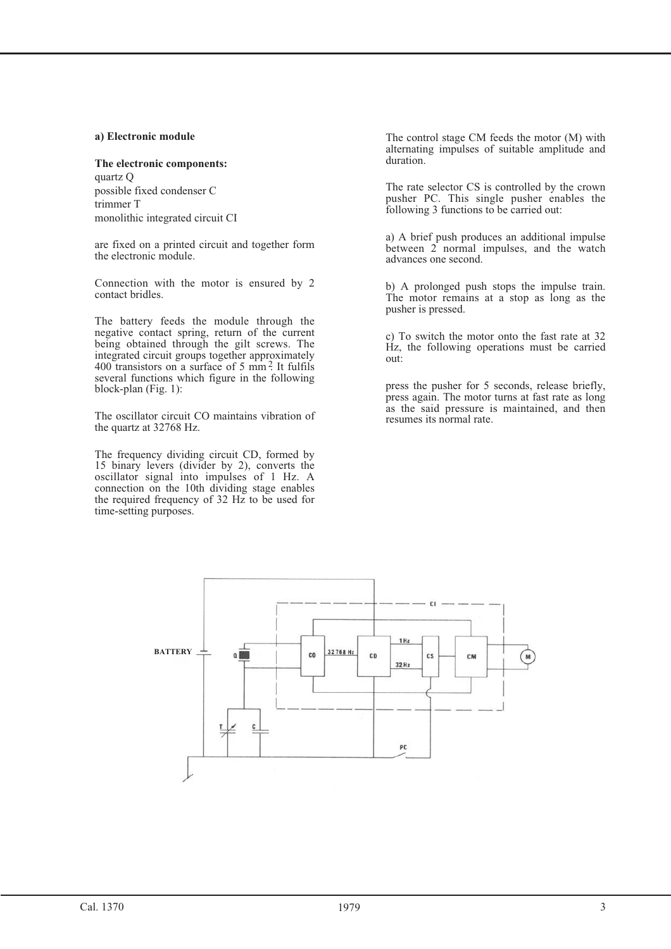### **a) Electronic module**

#### **The electronic components:**

quartz Q possible fixed condenser C trimmer T monolithic integrated circuit CI

are fixed on a printed circuit and together form the electronic module.

Connection with the motor is ensured by 2 contact bridles.

The battery feeds the module through the negative contact spring, return of the current being obtained through the gilt screws. The integrated circuit groups together approximately  $400$  transistors on a surface of 5 mm<sup>2</sup>. It fulfils several functions which figure in the following block-plan (Fig. 1):

The oscillator circuit CO maintains vibration of the quartz at 32768 Hz.

The frequency dividing circuit CD, formed by 15 binary levers (divider by 2), converts the oscillator signal into impulses of 1 Hz. A connection on the 10th dividing stage enables the required frequency of 32 Hz to be used for time-setting purposes.

The control stage CM feeds the motor (M) with alternating impulses of suitable amplitude and duration.

The rate selector CS is controlled by the crown pusher PC. This single pusher enables the following 3 functions to be carried out:

a) A brief push produces an additional impulse between 2 normal impulses, and the watch advances one second.

b) A prolonged push stops the impulse train. The motor remains at a stop as long as the pusher is pressed.

c) To switch the motor onto the fast rate at 32 Hz, the following operations must be carried out:

press the pusher for 5 seconds, release briefly, press again. The motor turns at fast rate as long as the said pressure is maintained, and then resumes its normal rate.

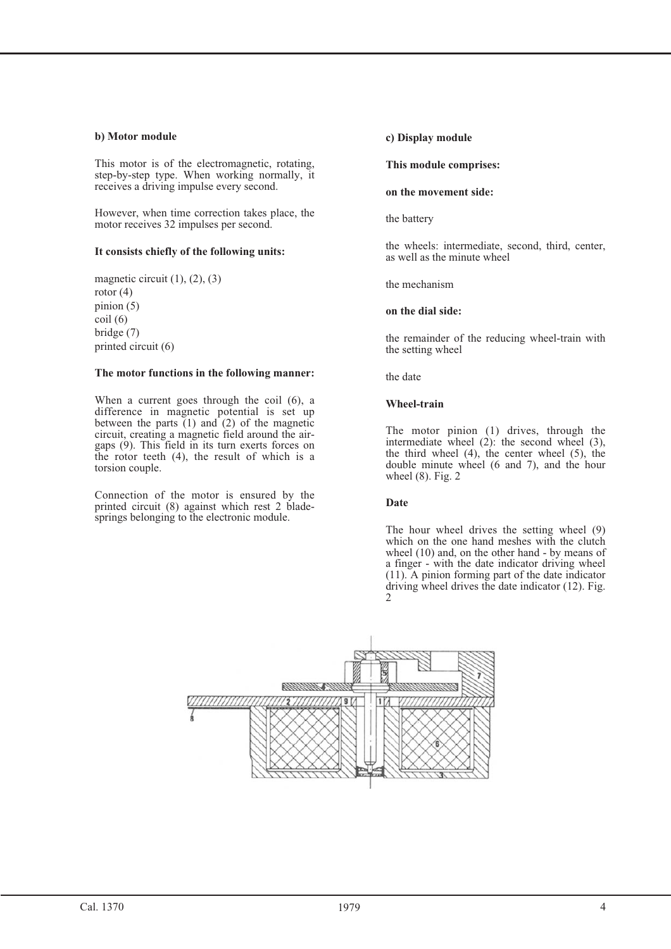### **b) Motor module**

This motor is of the electromagnetic, rotating, step-by-step type. When working normally, it receives a driving impulse every second.

However, when time correction takes place, the motor receives 32 impulses per second.

### **It consists chiefly of the following units:**

magnetic circuit (1), (2), (3) rotor (4) pinion (5) coil (6) bridge (7) printed circuit (6)

#### **The motor functions in the following manner:**

When a current goes through the coil (6), a difference in magnetic potential is set up between the parts  $(1)$  and  $(2)$  of the magnetic circuit, creating a magnetic field around the airgaps (9). This field in its turn exerts forces on the rotor teeth (4), the result of which is a torsion couple.

Connection of the motor is ensured by the printed circuit (8) against which rest 2 bladesprings belonging to the electronic module.

### **c) Display module**

# **This module comprises:**

#### **on the movement side:**

the battery

the wheels: intermediate, second, third, center, as well as the minute wheel

the mechanism

### **on the dial side:**

the remainder of the reducing wheel-train with the setting wheel

the date

### **Wheel-train**

The motor pinion (1) drives, through the intermediate wheel (2): the second wheel (3), the third wheel  $(4)$ , the center wheel  $(5)$ , the double minute wheel (6 and 7), and the hour wheel (8). Fig. 2

#### **Date**

The hour wheel drives the setting wheel (9) which on the one hand meshes with the clutch wheel (10) and, on the other hand - by means of a finger - with the date indicator driving wheel (11). A pinion forming part of the date indicator driving wheel drives the date indicator (12). Fig. 2

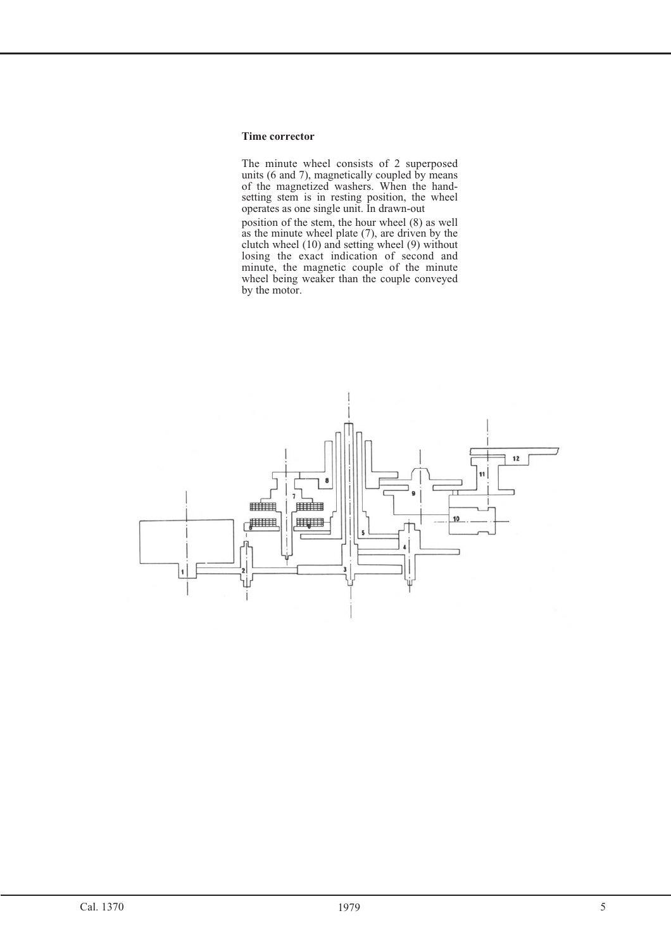#### **Time corrector**

The minute wheel consists of 2 superposed units (6 and 7), magnetically coupled by means of the magnetized washers. When the handsetting stem is in resting position, the wheel operates as one single unit. In drawn-out position of the stem, the hour wheel (8) as well as the minute wheel plate (7), are driven by the clutch wheel (10) and setting wheel (9) without losing the exact indication of second and minute, the magnetic couple of the minute wheel being weaker than the couple conveyed by the motor.

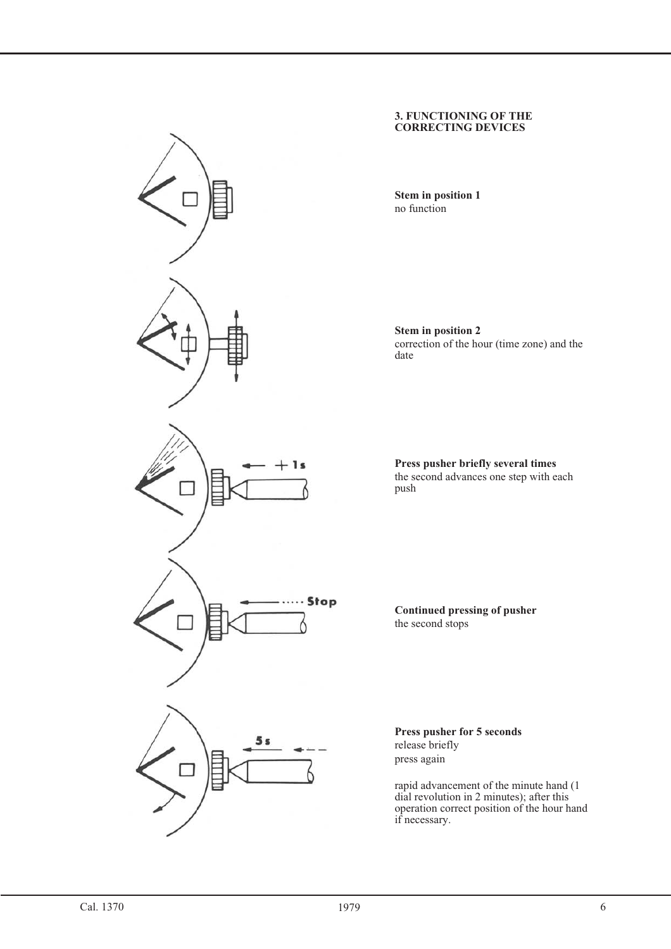

#### **3. FUNCTIONING OF THE CORRECTING DEVICES**

**Stem in position 1** no function

**Stem in position 2** correction of the hour (time zone) and the date

**Press pusher briefly several times** the second advances one step with each push

**Continued pressing of pusher** the second stops

**Press pusher for 5 seconds** release briefly press again

rapid advancement of the minute hand (1 dial revolution in 2 minutes); after this operation correct position of the hour hand if necessary.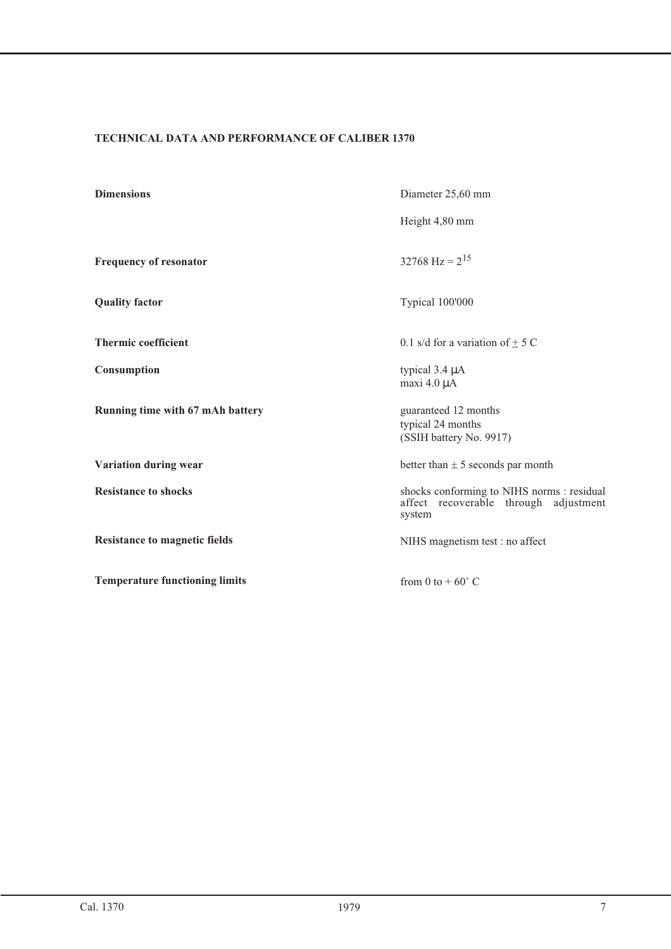### **TECHNICAL DATA AND PERFORMANCE OF CALIBER 1370**

| <b>Dimensions</b>                     | Diameter 25,60 mm                                                                             |  |  |
|---------------------------------------|-----------------------------------------------------------------------------------------------|--|--|
|                                       | Height 4,80 mm                                                                                |  |  |
| Frequency of resonator                | 32768 Hz = $2^{15}$                                                                           |  |  |
| <b>Quality factor</b>                 | Typical 100'000                                                                               |  |  |
| <b>Thermic coefficient</b>            | 0.1 s/d for a variation of $\pm$ 5 C                                                          |  |  |
| Consumption                           | typical $3.4 \mu A$<br>maxi 4.0 µA                                                            |  |  |
| Running time with 67 mAh battery      | guaranteed 12 months<br>typical 24 months<br>(SSIH battery No. 9917)                          |  |  |
| Variation during wear                 | better than $\pm$ 5 seconds par month                                                         |  |  |
| <b>Resistance to shocks</b>           | shocks conforming to NIHS norms : residual<br>affect recoverable through adjustment<br>system |  |  |
| <b>Resistance to magnetic fields</b>  | NIHS magnetism test : no affect                                                               |  |  |
| <b>Temperature functioning limits</b> | from 0 to $+60^{\circ}$ C                                                                     |  |  |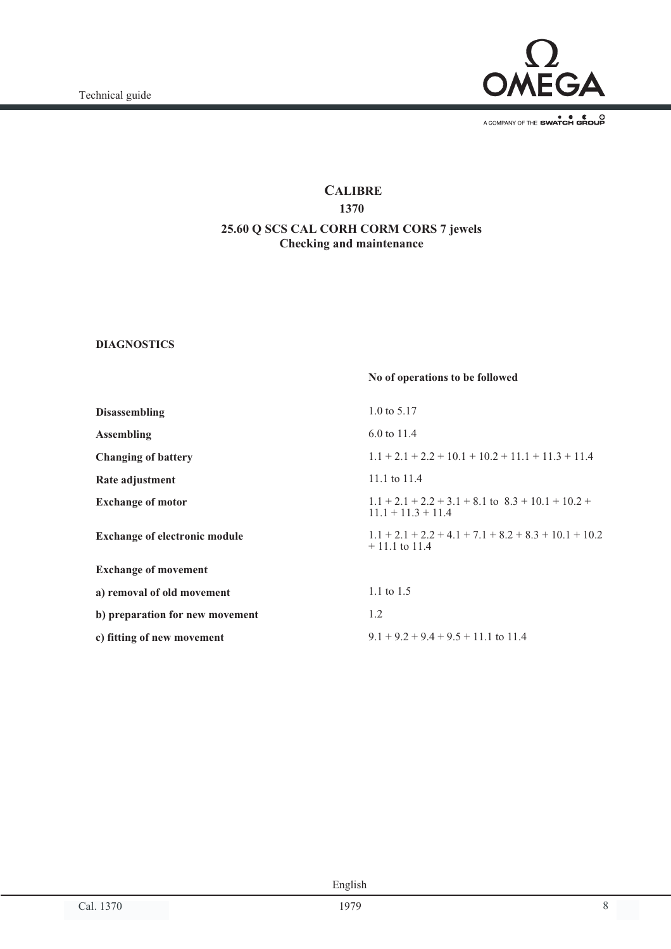

A COMPANY OF THE SWATCH GROUP

# **CALIBRE 1370 25.60 Q SCS CAL CORH CORM CORS 7 jewels Checking and maintenance**

### **DIAGNOSTICS**

| No of operations to be followed                                                |
|--------------------------------------------------------------------------------|
| 1.0 to $5.17$                                                                  |
| 6.0 to 11.4                                                                    |
| $1.1 + 2.1 + 2.2 + 10.1 + 10.2 + 11.1 + 11.3 + 11.4$                           |
| 11.1 to 11.4                                                                   |
| $1.1 + 2.1 + 2.2 + 3.1 + 8.1$ to $8.3 + 10.1 + 10.2 +$<br>$11.1 + 11.3 + 11.4$ |
| $1.1 + 2.1 + 2.2 + 4.1 + 7.1 + 8.2 + 8.3 + 10.1 + 10.2$<br>$+11.1$ to 11.4     |
|                                                                                |
| 1.1 to $1.5$                                                                   |
| 1.2                                                                            |
| $9.1 + 9.2 + 9.4 + 9.5 + 11.1$ to 11.4                                         |
|                                                                                |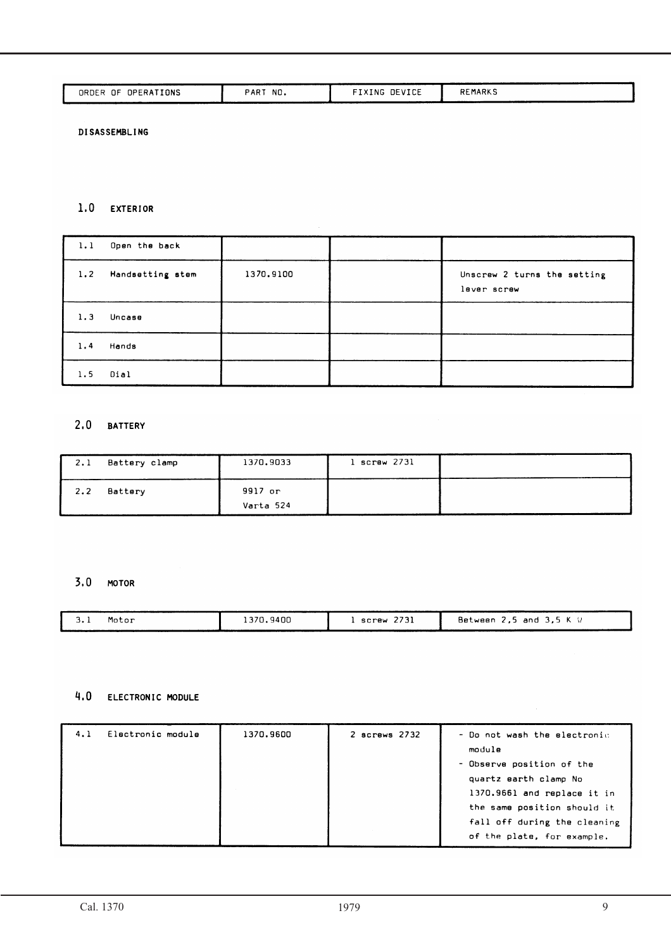| OPERATIONS<br>.NF<br>ORDER | <b>PAR</b><br>NO. | DEVICE<br>IXING | <b>REMARKS</b> |
|----------------------------|-------------------|-----------------|----------------|
|                            |                   |                 |                |

**DISASSEMBLING** 

### 1.0 EXTERIOR

| 1.1 | Open the back    |           |                                            |
|-----|------------------|-----------|--------------------------------------------|
| 1.2 | Handsetting stem | 1370,9100 | Unscrew 2 turns the setting<br>lever screw |
| 1.3 | Uncase           |           |                                            |
| 1.4 | Hands            |           |                                            |
| 1.5 | Dial             |           |                                            |

### 2.0 BATTERY

| 2.1         | Battery clamp | 1370.9033            | $l$ screw $273l$ |  |
|-------------|---------------|----------------------|------------------|--|
| $2 \cdot 2$ | Battery       | 9917 or<br>Varta 524 |                  |  |

# 3.0 MOTOR

| <b>J.I</b> | Motor | 1370.9400 | 2731<br>screw | Between 2,5 and 3,5 K ' |
|------------|-------|-----------|---------------|-------------------------|
|            |       |           |               |                         |

# 4.0 ELECTRONIC MODULE

| 4.1 | Electronic module | 1370.9600 | 2 screws 2732 | - Do not wash the electronic |
|-----|-------------------|-----------|---------------|------------------------------|
|     |                   |           |               | module                       |
|     |                   |           |               | - Observe position of the    |
|     |                   |           |               | quartz earth clamp No        |
|     |                   |           |               | 1370.9661 and replace it in  |
|     |                   |           |               | the same position should it  |
|     |                   |           |               | fall off during the cleaning |
|     |                   |           |               | of the plate, for example.   |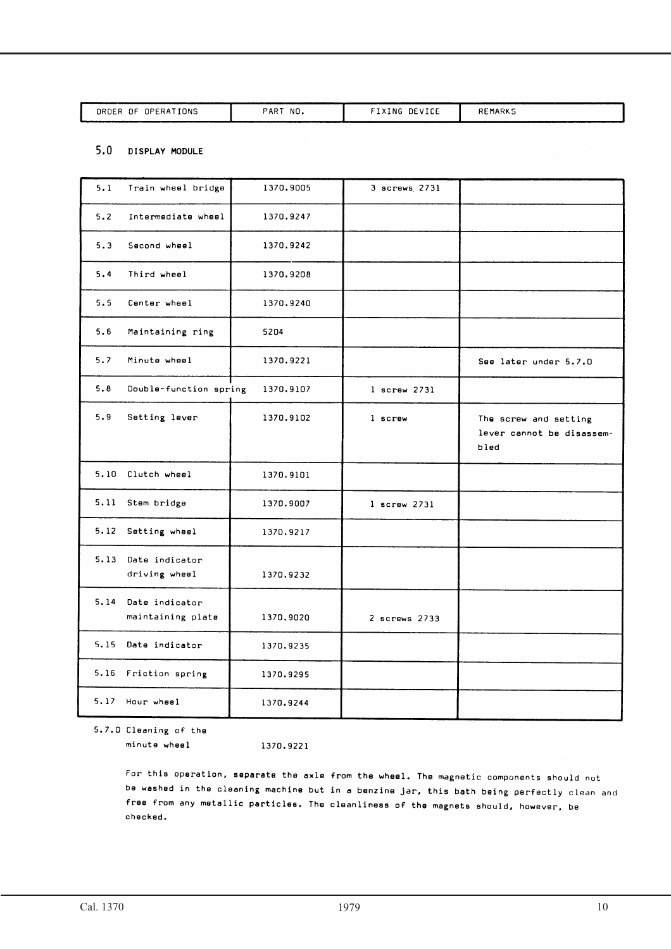| I ONS<br>ΟF<br>ORDER<br>OPERA | PART<br>NO.<br>____ | DEVICE<br>. NG<br>---<br>___<br>____ | оc<br>EMARKS |
|-------------------------------|---------------------|--------------------------------------|--------------|
|                               |                     |                                      |              |

### 5.0 DISPLAY MODULE

| 5.1 | Train wheel bridge                       | 1370,9005 | 3 screws 2731  |                                                            |
|-----|------------------------------------------|-----------|----------------|------------------------------------------------------------|
| 5.2 | Intermediate wheel                       | 1370.9247 |                |                                                            |
| 5.3 | Second wheel                             | 1370.9242 |                |                                                            |
| 5.4 | Third wheel                              | 1370.9208 |                |                                                            |
| 5.5 | Center wheel                             | 1370.9240 |                |                                                            |
| 5.6 | Maintaining ring                         | 5204      |                |                                                            |
| 5.7 | Minute wheel                             | 1370.9221 |                | See later under 5.7.0                                      |
| 5.8 | Double-function spring                   | 1370.9107 | $l$ screw 2731 |                                                            |
| 5.9 | Setting lever                            | 1370.9102 | 1 screw        | The screw and setting<br>lever cannot be disassem-<br>bled |
|     | 5.10 Clutch wheel                        | 1370.9101 |                |                                                            |
|     | 5.11 Stem bridge                         | 1370,9007 | 1 screw 2731   |                                                            |
|     | 5.12 Setting wheel                       | 1370.9217 |                |                                                            |
|     | 5.13 Date indicator<br>driving wheel     | 1370.9232 |                |                                                            |
|     | 5.14 Date indicator<br>maintaining plate | 1370.9020 | 2 screws 2733  |                                                            |
|     | 5.15 Date indicator                      | 1370.9235 |                |                                                            |
|     | 5.16 Friction spring                     | 1370.9295 |                |                                                            |
|     | 5.17 Hour wheel                          | 1370.9244 |                |                                                            |

5.7.0 Cleaning of the minute wheel

1370.9221

For this operation, separate the axle from the wheel. The magnetic components should not be washed in the cleaning machine but in a benzine jar, this bath being perfectly clean and free from any metallic particles. The cleanliness of the magnets should, however, be checked.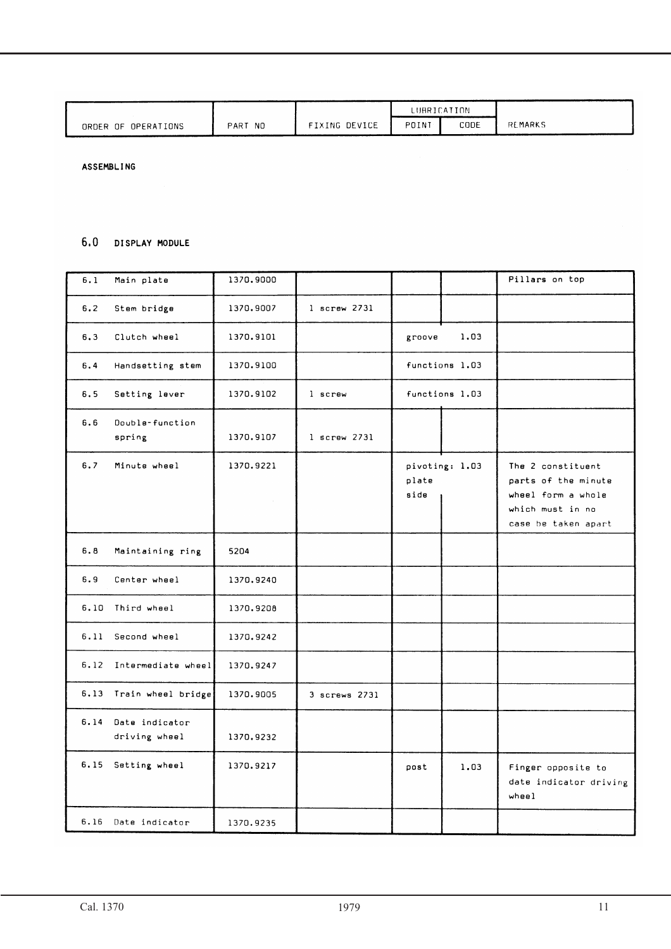|                     |             |               | LUBRICATION |      |                |
|---------------------|-------------|---------------|-------------|------|----------------|
| ORDER OF OPERATIONS | NO.<br>PART | FIXING DEVICE | POINT       | CODE | <b>REMARKS</b> |

ASSEMBLING

### 6.0 DISPLAY MODULE

| 6.1  | Main plate                      | 1370,9000 |                  |                                 | Pillars on top                                                                                            |
|------|---------------------------------|-----------|------------------|---------------------------------|-----------------------------------------------------------------------------------------------------------|
| 6.2  | Stem bridge                     | 1370.9007 | $l$ screw $273l$ |                                 |                                                                                                           |
| 6.3  | Clutch wheel                    | 1370.9101 |                  | 1.03<br>groove                  |                                                                                                           |
| 6.4  | Handsetting stem                | 1370.9100 |                  | functions 1.03                  |                                                                                                           |
| 6.5  | Setting lever                   | 1370.9102 | 1 screw          | functions 1.03                  |                                                                                                           |
| 6.6  | Double-function<br>spring       | 1370.9107 | $l$ screw $273l$ |                                 |                                                                                                           |
| 6.7  | Minute wheel                    | 1370.9221 |                  | pivoting: 1.03<br>plate<br>side | The 2 constituent<br>parts of the minute<br>wheel form a whole<br>which must in no<br>case be taken apart |
| 6.8  | Maintaining ring                | 5204      |                  |                                 |                                                                                                           |
| 6.9  | Center wheel                    | 1370.9240 |                  |                                 |                                                                                                           |
| 6.10 | Third wheel                     | 1370.9208 |                  |                                 |                                                                                                           |
| 6.11 | Second wheel                    | 1370.9242 |                  |                                 |                                                                                                           |
| 6.12 | Intermediate wheel              | 1370.9247 |                  |                                 |                                                                                                           |
|      | 6.13 Train wheel bridge         | 1370.9005 | 3 screws 2731    |                                 |                                                                                                           |
| 6.14 | Date indicator<br>driving wheel | 1370.9232 |                  |                                 |                                                                                                           |
| 6.15 | Setting wheel                   | 1370.9217 |                  | post<br>1.03                    | Finger opposite to<br>date indicator driving<br>$where l$                                                 |
|      | 6.16 Date indicator             | 1370.9235 |                  |                                 |                                                                                                           |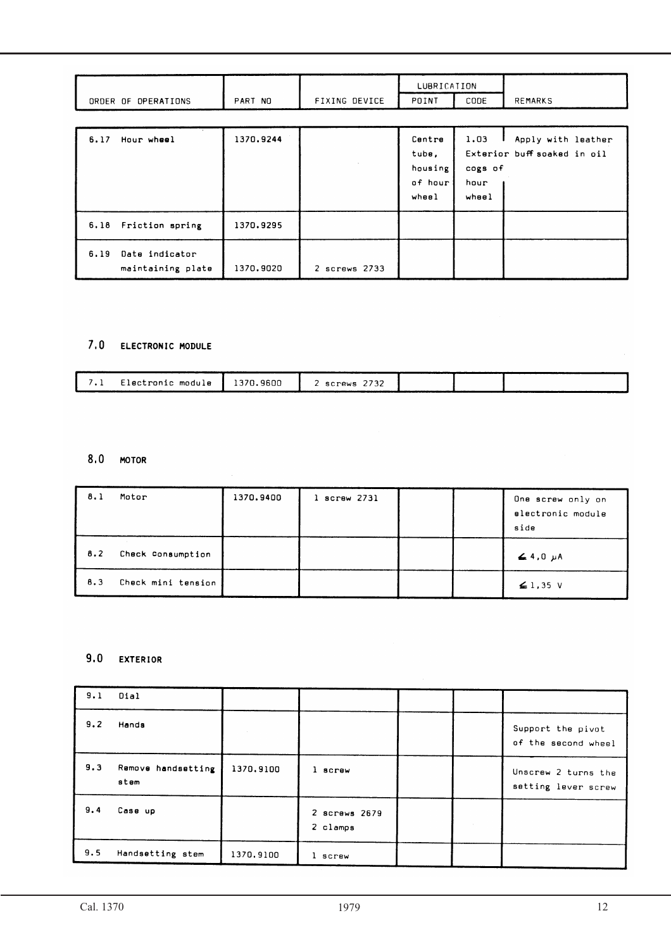|                                             |           |               | LUBRICATION                                    |                                  |                                                   |
|---------------------------------------------|-----------|---------------|------------------------------------------------|----------------------------------|---------------------------------------------------|
| ORDER OF OPERATIONS                         | PART NO   | FIXING DEVICE | POINT                                          | CODE                             | <b>REMARKS</b>                                    |
| 6.17<br>Hour wheel                          | 1370.9244 |               | Centre<br>tube,<br>housing<br>of hour<br>wheel | 1.03<br>cogs of<br>hour<br>wheel | Apply with leather<br>Exterior buff soaked in oil |
| 6.18 Friction spring                        | 1370.9295 |               |                                                |                                  |                                                   |
| Date indicator<br>6.19<br>maintaining plate | 1370.9020 | 2 screws 2733 |                                                |                                  |                                                   |

# 7.0 ELECTRONIC MODULE

 $\bar{\alpha}$ 

| Electronic module<br>`370.9600<br>screws . |  |  |  |  |  |
|--------------------------------------------|--|--|--|--|--|
|                                            |  |  |  |  |  |

# 8.0 MOTOR

| 8.1 | Motor              | 1370.9400 | $l$ screw 2731 |  | One screw only on<br>electronic module<br>side |
|-----|--------------------|-----------|----------------|--|------------------------------------------------|
| 8.2 | Check Consumption  |           |                |  | $\leq 4.0$ $\mu$ A                             |
| 8.3 | Check mini tension |           |                |  | $\leq$ 1,35 V                                  |

# 9.0 EXTERIOR

| 9.1 | Dial                       |           |                           |  |                                            |
|-----|----------------------------|-----------|---------------------------|--|--------------------------------------------|
| 9.2 | Hands                      |           |                           |  | Support the pivot<br>of the second wheel   |
| 9.3 | Remove handsetting<br>stem | 1370,9100 | 1 screw                   |  | Unscrew 2 turns the<br>setting lever screw |
| 9.4 | Case up                    |           | 2 screws 2679<br>2 clamps |  |                                            |
| 9.5 | Handsetting stem           | 1370.9100 | 1 screw                   |  |                                            |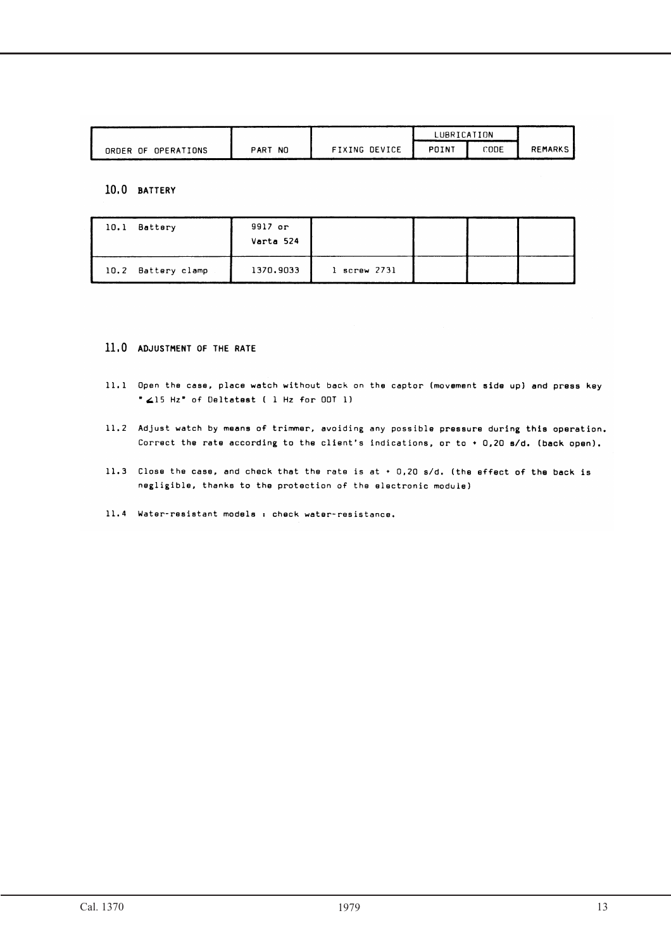|                     |             |               | LUBRICATION |      |                |
|---------------------|-------------|---------------|-------------|------|----------------|
| ORDER OF OPERATIONS | NO.<br>PART | FIXING DEVICE | POINT       | CODE | <b>REMARKS</b> |

### 10.0 BATTERY

| Battery<br>10.1    | 9917 or<br>Varta 524 |                  |  |  |
|--------------------|----------------------|------------------|--|--|
| 10.2 Battery clamp | 1370.9033            | $1$ screw $2731$ |  |  |

### 11.0 ADJUSTMENT OF THE RATE

- 11.1 Open the case, place watch without back on the captor (movement side up) and press key " 415 Hz" of Deltatest ( 1 Hz for ODT 1)
- 11.2 Adjust watch by means of trimmer, avoiding any possible pressure during this operation. Correct the rate according to the client's indications, or to  $+0.20$  s/d. (back open).
- 11.3 Close the case, and check that the rate is at + 0,20 s/d. (the effect of the back is negligible, thanks to the protection of the electronic module)
- 11.4 Water-resistant models : check water-resistance.